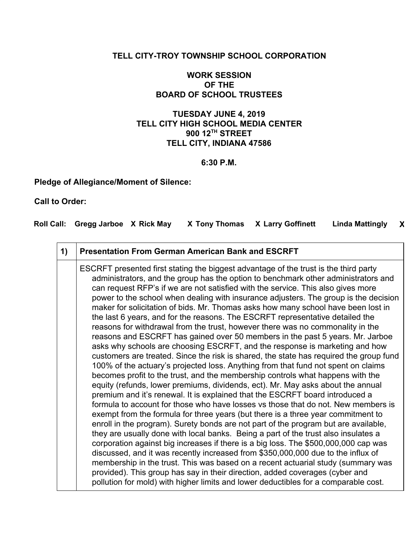### **TELL CITY-TROY TOWNSHIP SCHOOL CORPORATION**

## **WORK SESSION OF THE BOARD OF SCHOOL TRUSTEES**

## **TUESDAY JUNE 4, 2019 TELL CITY HIGH SCHOOL MEDIA CENTER 900 12TH STREET TELL CITY, INDIANA 47586**

#### **6:30 P.M.**

**Pledge of Allegiance/Moment of Silence:**

### **Call to Order:**

| Roll Call: Gregg Jarboe X Rick May |  | X Tony Thomas X Larry Goffinett Linda Mattingly X |  |
|------------------------------------|--|---------------------------------------------------|--|
|                                    |  |                                                   |  |

| 1) | <b>Presentation From German American Bank and ESCRFT</b>                                                                                                                                                                                                                                                                                                                                                                                                                                                                                                                                                                                                                                                                                                                                                                                                                                                                                                                                                                                                                                                                                                                                                                                                                                                                                                                                                                                                                                                                                                                                                                                                                                                                                                                                                                                                                                                                                                                                                       |
|----|----------------------------------------------------------------------------------------------------------------------------------------------------------------------------------------------------------------------------------------------------------------------------------------------------------------------------------------------------------------------------------------------------------------------------------------------------------------------------------------------------------------------------------------------------------------------------------------------------------------------------------------------------------------------------------------------------------------------------------------------------------------------------------------------------------------------------------------------------------------------------------------------------------------------------------------------------------------------------------------------------------------------------------------------------------------------------------------------------------------------------------------------------------------------------------------------------------------------------------------------------------------------------------------------------------------------------------------------------------------------------------------------------------------------------------------------------------------------------------------------------------------------------------------------------------------------------------------------------------------------------------------------------------------------------------------------------------------------------------------------------------------------------------------------------------------------------------------------------------------------------------------------------------------------------------------------------------------------------------------------------------------|
|    | ESCRFT presented first stating the biggest advantage of the trust is the third party<br>administrators, and the group has the option to benchmark other administrators and<br>can request RFP's if we are not satisfied with the service. This also gives more<br>power to the school when dealing with insurance adjusters. The group is the decision<br>maker for solicitation of bids. Mr. Thomas asks how many school have been lost in<br>the last 6 years, and for the reasons. The ESCRFT representative detailed the<br>reasons for withdrawal from the trust, however there was no commonality in the<br>reasons and ESCRFT has gained over 50 members in the past 5 years. Mr. Jarboe<br>asks why schools are choosing ESCRFT, and the response is marketing and how<br>customers are treated. Since the risk is shared, the state has required the group fund<br>100% of the actuary's projected loss. Anything from that fund not spent on claims<br>becomes profit to the trust, and the membership controls what happens with the<br>equity (refunds, lower premiums, dividends, ect). Mr. May asks about the annual<br>premium and it's renewal. It is explained that the ESCRFT board introduced a<br>formula to account for those who have losses vs those that do not. New members is<br>exempt from the formula for three years (but there is a three year commitment to<br>enroll in the program). Surety bonds are not part of the program but are available,<br>they are usually done with local banks. Being a part of the trust also insulates a<br>corporation against big increases if there is a big loss. The \$500,000,000 cap was<br>discussed, and it was recently increased from \$350,000,000 due to the influx of<br>membership in the trust. This was based on a recent actuarial study (summary was<br>provided). This group has say in their direction, added coverages (cyber and<br>pollution for mold) with higher limits and lower deductibles for a comparable cost. |